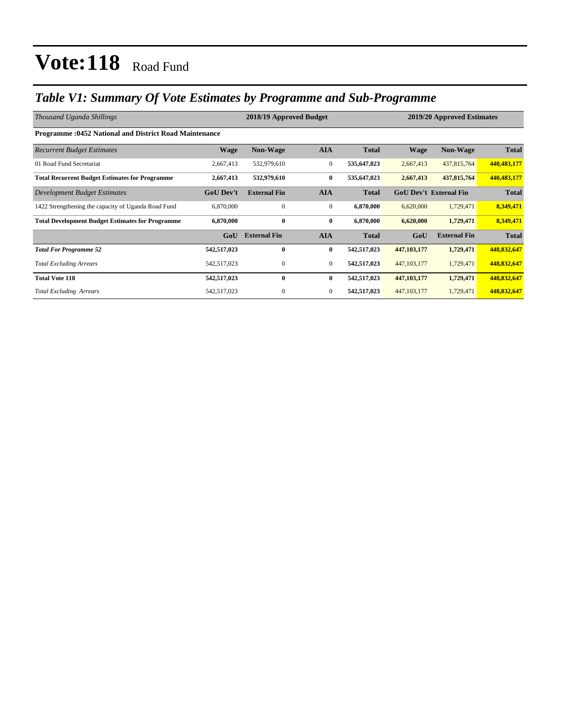## *Table V1: Summary Of Vote Estimates by Programme and Sub-Programme*

| Thousand Uganda Shillings                                     |                  | 2018/19 Approved Budget | 2019/20 Approved Estimates |              |                               |                     |              |
|---------------------------------------------------------------|------------------|-------------------------|----------------------------|--------------|-------------------------------|---------------------|--------------|
| <b>Programme: 0452 National and District Road Maintenance</b> |                  |                         |                            |              |                               |                     |              |
| <b>Recurrent Budget Estimates</b>                             | <b>Wage</b>      | <b>Non-Wage</b>         | <b>AIA</b>                 | <b>Total</b> | <b>Wage</b>                   | <b>Non-Wage</b>     | <b>Total</b> |
| 01 Road Fund Secretariat                                      | 2,667,413        | 532,979,610             | $\mathbf{0}$               | 535,647,023  | 2,667,413                     | 437,815,764         | 440,483,177  |
| <b>Total Recurrent Budget Estimates for Programme</b>         | 2,667,413        | 532,979,610             | $\bf{0}$                   | 535,647,023  | 2,667,413                     | 437,815,764         | 440,483,177  |
| Development Budget Estimates                                  | <b>GoU Dev't</b> | <b>External Fin</b>     | <b>AIA</b>                 | <b>Total</b> | <b>GoU Dev't External Fin</b> |                     | <b>Total</b> |
| 1422 Strengthening the capacity of Uganda Road Fund           | 6,870,000        | $\mathbf{0}$            | $\boldsymbol{0}$           | 6,870,000    | 6,620,000                     | 1,729,471           | 8,349,471    |
| <b>Total Development Budget Estimates for Programme</b>       | 6,870,000        | $\bf{0}$                | $\bf{0}$                   | 6,870,000    | 6,620,000                     | 1,729,471           | 8,349,471    |
|                                                               | GoU              | <b>External Fin</b>     | <b>AIA</b>                 | <b>Total</b> | GoU                           | <b>External Fin</b> | <b>Total</b> |
| <b>Total For Programme 52</b>                                 | 542,517,023      | $\bf{0}$                | $\bf{0}$                   | 542,517,023  | 447,103,177                   | 1,729,471           | 448,832,647  |
| <b>Total Excluding Arrears</b>                                | 542,517,023      | $\mathbf{0}$            | $\boldsymbol{0}$           | 542,517,023  | 447, 103, 177                 | 1,729,471           | 448,832,647  |
| <b>Total Vote 118</b>                                         | 542,517,023      | $\mathbf{0}$            | $\bf{0}$                   | 542,517,023  | 447,103,177                   | 1,729,471           | 448,832,647  |
| <b>Total Excluding Arrears</b>                                | 542,517,023      | 0                       | $\mathbf{0}$               | 542,517,023  | 447, 103, 177                 | 1,729,471           | 448,832,647  |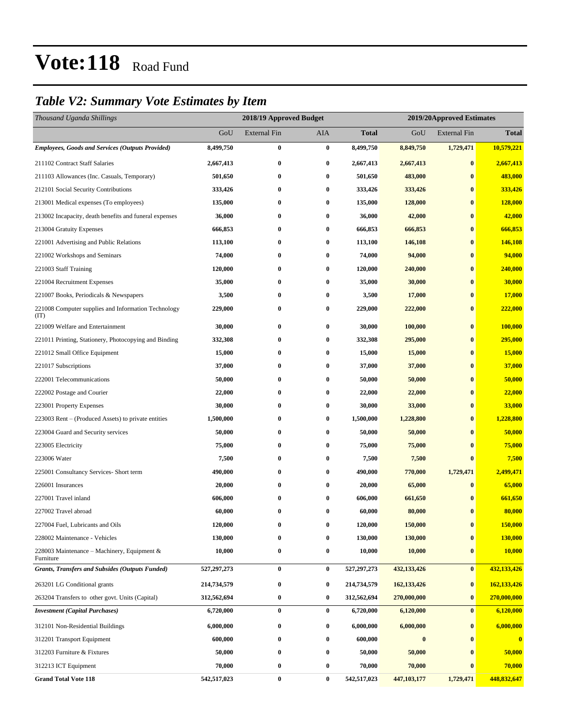## *Table V2: Summary Vote Estimates by Item*

| Thousand Uganda Shillings                                   |             | 2018/19 Approved Budget |                  |              | 2019/20Approved Estimates |                     |                |  |
|-------------------------------------------------------------|-------------|-------------------------|------------------|--------------|---------------------------|---------------------|----------------|--|
|                                                             | GoU         | <b>External Fin</b>     | AIA              | <b>Total</b> | GoU                       | <b>External Fin</b> | <b>Total</b>   |  |
| <b>Employees, Goods and Services (Outputs Provided)</b>     | 8,499,750   | $\boldsymbol{0}$        | $\bf{0}$         | 8,499,750    | 8,849,750                 | 1,729,471           | 10,579,221     |  |
| 211102 Contract Staff Salaries                              | 2,667,413   | $\bf{0}$                | $\bf{0}$         | 2,667,413    | 2,667,413                 | $\boldsymbol{0}$    | 2,667,413      |  |
| 211103 Allowances (Inc. Casuals, Temporary)                 | 501,650     | $\bf{0}$                | $\bf{0}$         | 501,650      | 483,000                   | $\bf{0}$            | 483,000        |  |
| 212101 Social Security Contributions                        | 333,426     | $\bf{0}$                | $\bf{0}$         | 333,426      | 333,426                   | $\bf{0}$            | 333,426        |  |
| 213001 Medical expenses (To employees)                      | 135,000     | $\bf{0}$                | $\bf{0}$         | 135,000      | 128,000                   | $\bf{0}$            | 128,000        |  |
| 213002 Incapacity, death benefits and funeral expenses      | 36,000      | $\bf{0}$                | $\bf{0}$         | 36,000       | 42,000                    | $\bf{0}$            | 42,000         |  |
| 213004 Gratuity Expenses                                    | 666,853     | $\bf{0}$                | $\bf{0}$         | 666,853      | 666,853                   | $\bf{0}$            | 666,853        |  |
| 221001 Advertising and Public Relations                     | 113,100     | $\bf{0}$                | $\bf{0}$         | 113,100      | 146,108                   | $\bf{0}$            | 146,108        |  |
| 221002 Workshops and Seminars                               | 74,000      | $\bf{0}$                | $\bf{0}$         | 74,000       | 94,000                    | $\bf{0}$            | 94,000         |  |
| 221003 Staff Training                                       | 120,000     | $\bf{0}$                | $\bf{0}$         | 120,000      | 240,000                   | $\bf{0}$            | 240,000        |  |
| 221004 Recruitment Expenses                                 | 35,000      | $\bf{0}$                | $\bf{0}$         | 35,000       | 30,000                    | $\bf{0}$            | 30,000         |  |
| 221007 Books, Periodicals & Newspapers                      | 3,500       | $\bf{0}$                | $\bf{0}$         | 3,500        | 17,000                    | $\bf{0}$            | 17,000         |  |
| 221008 Computer supplies and Information Technology<br>(TT) | 229,000     | $\bf{0}$                | $\bf{0}$         | 229,000      | 222,000                   | $\bf{0}$            | 222,000        |  |
| 221009 Welfare and Entertainment                            | 30,000      | $\bf{0}$                | $\bf{0}$         | 30,000       | 100,000                   | $\bf{0}$            | 100,000        |  |
| 221011 Printing, Stationery, Photocopying and Binding       | 332,308     | $\bf{0}$                | $\bf{0}$         | 332,308      | 295,000                   | $\bf{0}$            | 295,000        |  |
| 221012 Small Office Equipment                               | 15,000      | $\bf{0}$                | $\bf{0}$         | 15,000       | 15,000                    | $\bf{0}$            | 15,000         |  |
| 221017 Subscriptions                                        | 37,000      | $\bf{0}$                | $\bf{0}$         | 37,000       | 37,000                    | $\bf{0}$            | 37,000         |  |
| 222001 Telecommunications                                   | 50,000      | $\bf{0}$                | $\bf{0}$         | 50,000       | 50,000                    | $\bf{0}$            | 50,000         |  |
| 222002 Postage and Courier                                  | 22,000      | $\bf{0}$                | $\bf{0}$         | 22,000       | 22,000                    | $\bf{0}$            | 22,000         |  |
| 223001 Property Expenses                                    | 30,000      | 0                       | $\bf{0}$         | 30,000       | 33,000                    | $\bf{0}$            | 33,000         |  |
| 223003 Rent – (Produced Assets) to private entities         | 1,500,000   | 0                       | $\bf{0}$         | 1,500,000    | 1,228,800                 | $\bf{0}$            | 1,228,800      |  |
| 223004 Guard and Security services                          | 50,000      | $\bf{0}$                | $\bf{0}$         | 50,000       | 50,000                    | $\bf{0}$            | 50,000         |  |
| 223005 Electricity                                          | 75,000      | $\bf{0}$                | $\bf{0}$         | 75,000       | 75,000                    | $\bf{0}$            | 75,000         |  |
| 223006 Water                                                | 7,500       | $\bf{0}$                | $\bf{0}$         | 7,500        | 7,500                     | $\bf{0}$            | 7,500          |  |
| 225001 Consultancy Services- Short term                     | 490,000     | 0                       | $\bf{0}$         | 490,000      | 770,000                   | 1,729,471           | 2,499,471      |  |
| 226001 Insurances                                           | 20,000      | 0                       | $\bf{0}$         | 20,000       | 65,000                    | $\bf{0}$            | 65,000         |  |
| 227001 Travel inland                                        | 606,000     | 0                       | $\bf{0}$         | 606,000      | 661,650                   | $\bf{0}$            | 661,650        |  |
| 227002 Travel abroad                                        | 60,000      | $\bf{0}$                | $\bf{0}$         | 60,000       | 80,000                    | $\bf{0}$            | 80,000         |  |
| 227004 Fuel, Lubricants and Oils                            | 120,000     | $\boldsymbol{0}$        | $\bf{0}$         | 120,000      | 150,000                   | $\bf{0}$            | <b>150,000</b> |  |
| 228002 Maintenance - Vehicles                               | 130,000     | $\bf{0}$                | $\bf{0}$         | 130,000      | 130,000                   | $\bf{0}$            | 130,000        |  |
| 228003 Maintenance – Machinery, Equipment &<br>Furniture    | 10,000      | $\bf{0}$                | $\bf{0}$         | 10,000       | 10,000                    | $\bf{0}$            | 10,000         |  |
| <b>Grants, Transfers and Subsides (Outputs Funded)</b>      | 527,297,273 | $\pmb{0}$               | $\bf{0}$         | 527,297,273  | 432,133,426               | $\bf{0}$            | 432,133,426    |  |
| 263201 LG Conditional grants                                | 214,734,579 | $\pmb{0}$               | $\bf{0}$         | 214,734,579  | 162, 133, 426             | $\bf{0}$            | 162,133,426    |  |
| 263204 Transfers to other govt. Units (Capital)             | 312,562,694 | $\bf{0}$                | $\bf{0}$         | 312,562,694  | 270,000,000               | $\bf{0}$            | 270,000,000    |  |
| <b>Investment (Capital Purchases)</b>                       | 6,720,000   | $\bf{0}$                | $\bf{0}$         | 6,720,000    | 6,120,000                 | $\bf{0}$            | 6,120,000      |  |
| 312101 Non-Residential Buildings                            | 6,000,000   | $\bf{0}$                | $\bf{0}$         | 6,000,000    | 6,000,000                 | $\bf{0}$            | 6,000,000      |  |
| 312201 Transport Equipment                                  | 600,000     | $\bf{0}$                | $\bf{0}$         | 600,000      | $\bf{0}$                  | $\bf{0}$            | $\bf{0}$       |  |
| 312203 Furniture & Fixtures                                 | 50,000      | $\bf{0}$                | $\bf{0}$         | 50,000       | 50,000                    | $\bf{0}$            | 50,000         |  |
| 312213 ICT Equipment                                        | 70,000      | $\bf{0}$                | $\bf{0}$         | 70,000       | 70,000                    | $\bf{0}$            | 70,000         |  |
| <b>Grand Total Vote 118</b>                                 | 542,517,023 | $\pmb{0}$               | $\boldsymbol{0}$ | 542,517,023  | 447,103,177               | 1,729,471           | 448,832,647    |  |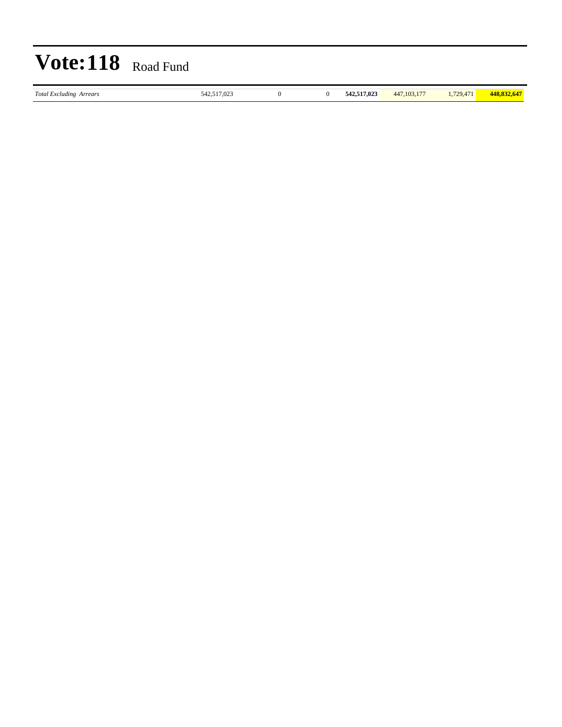| $\bf Vote:118$ Road Fund       |             |  |             |             |           |             |
|--------------------------------|-------------|--|-------------|-------------|-----------|-------------|
| <b>Total Excluding Arrears</b> | 542,517,023 |  | 542,517,023 | 447.103.177 | 1.729,471 | 448,832,647 |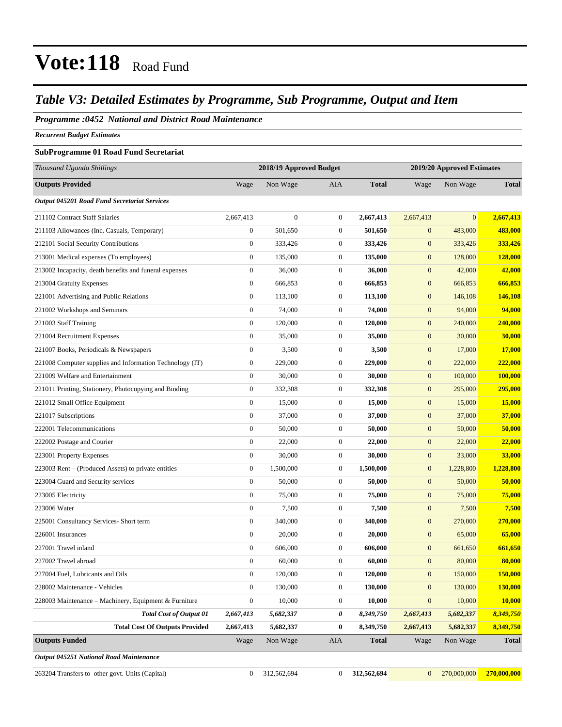#### *Table V3: Detailed Estimates by Programme, Sub Programme, Output and Item*

#### *Programme :0452 National and District Road Maintenance*

*Recurrent Budget Estimates*

#### **SubProgramme 01 Road Fund Secretariat**

| Thousand Uganda Shillings                                | 2018/19 Approved Budget |                  |                  | 2019/20 Approved Estimates |                  |                |              |
|----------------------------------------------------------|-------------------------|------------------|------------------|----------------------------|------------------|----------------|--------------|
| <b>Outputs Provided</b>                                  | Wage                    | Non Wage         | <b>AIA</b>       | <b>Total</b>               | Wage             | Non Wage       | <b>Total</b> |
| <b>Output 045201 Road Fund Secretariat Services</b>      |                         |                  |                  |                            |                  |                |              |
| 211102 Contract Staff Salaries                           | 2,667,413               | $\boldsymbol{0}$ | $\boldsymbol{0}$ | 2,667,413                  | 2,667,413        | $\overline{0}$ | 2,667,413    |
| 211103 Allowances (Inc. Casuals, Temporary)              | $\boldsymbol{0}$        | 501,650          | $\boldsymbol{0}$ | 501,650                    | $\mathbf{0}$     | 483,000        | 483,000      |
| 212101 Social Security Contributions                     | $\boldsymbol{0}$        | 333,426          | $\boldsymbol{0}$ | 333,426                    | $\mathbf{0}$     | 333,426        | 333,426      |
| 213001 Medical expenses (To employees)                   | $\boldsymbol{0}$        | 135,000          | $\boldsymbol{0}$ | 135,000                    | $\boldsymbol{0}$ | 128,000        | 128,000      |
| 213002 Incapacity, death benefits and funeral expenses   | $\boldsymbol{0}$        | 36,000           | $\boldsymbol{0}$ | 36,000                     | $\boldsymbol{0}$ | 42,000         | 42,000       |
| 213004 Gratuity Expenses                                 | $\boldsymbol{0}$        | 666,853          | $\boldsymbol{0}$ | 666,853                    | $\boldsymbol{0}$ | 666,853        | 666,853      |
| 221001 Advertising and Public Relations                  | $\boldsymbol{0}$        | 113,100          | $\boldsymbol{0}$ | 113,100                    | $\mathbf{0}$     | 146,108        | 146,108      |
| 221002 Workshops and Seminars                            | $\boldsymbol{0}$        | 74,000           | $\boldsymbol{0}$ | 74,000                     | $\mathbf{0}$     | 94,000         | 94,000       |
| 221003 Staff Training                                    | $\boldsymbol{0}$        | 120,000          | $\boldsymbol{0}$ | 120,000                    | $\boldsymbol{0}$ | 240,000        | 240,000      |
| 221004 Recruitment Expenses                              | $\boldsymbol{0}$        | 35,000           | $\boldsymbol{0}$ | 35,000                     | $\mathbf{0}$     | 30,000         | 30,000       |
| 221007 Books, Periodicals & Newspapers                   | $\boldsymbol{0}$        | 3,500            | $\boldsymbol{0}$ | 3,500                      | $\boldsymbol{0}$ | 17,000         | 17,000       |
| 221008 Computer supplies and Information Technology (IT) | $\boldsymbol{0}$        | 229,000          | $\boldsymbol{0}$ | 229,000                    | $\mathbf{0}$     | 222,000        | 222,000      |
| 221009 Welfare and Entertainment                         | $\boldsymbol{0}$        | 30,000           | $\boldsymbol{0}$ | 30,000                     | $\mathbf{0}$     | 100,000        | 100,000      |
| 221011 Printing, Stationery, Photocopying and Binding    | $\boldsymbol{0}$        | 332,308          | $\boldsymbol{0}$ | 332,308                    | $\boldsymbol{0}$ | 295,000        | 295,000      |
| 221012 Small Office Equipment                            | $\boldsymbol{0}$        | 15,000           | $\boldsymbol{0}$ | 15,000                     | $\mathbf{0}$     | 15,000         | 15,000       |
| 221017 Subscriptions                                     | $\boldsymbol{0}$        | 37,000           | $\boldsymbol{0}$ | 37,000                     | $\boldsymbol{0}$ | 37,000         | 37,000       |
| 222001 Telecommunications                                | $\boldsymbol{0}$        | 50,000           | $\boldsymbol{0}$ | 50,000                     | $\mathbf{0}$     | 50,000         | 50,000       |
| 222002 Postage and Courier                               | $\boldsymbol{0}$        | 22,000           | $\boldsymbol{0}$ | 22,000                     | $\mathbf{0}$     | 22,000         | 22,000       |
| 223001 Property Expenses                                 | $\boldsymbol{0}$        | 30,000           | $\boldsymbol{0}$ | 30,000                     | $\boldsymbol{0}$ | 33,000         | 33,000       |
| 223003 Rent - (Produced Assets) to private entities      | $\boldsymbol{0}$        | 1,500,000        | $\boldsymbol{0}$ | 1,500,000                  | $\mathbf{0}$     | 1,228,800      | 1,228,800    |
| 223004 Guard and Security services                       | $\boldsymbol{0}$        | 50,000           | $\boldsymbol{0}$ | 50,000                     | $\boldsymbol{0}$ | 50,000         | 50,000       |
| 223005 Electricity                                       | $\boldsymbol{0}$        | 75,000           | $\boldsymbol{0}$ | 75,000                     | $\boldsymbol{0}$ | 75,000         | 75,000       |
| 223006 Water                                             | $\boldsymbol{0}$        | 7,500            | $\boldsymbol{0}$ | 7,500                      | $\mathbf{0}$     | 7,500          | 7,500        |
| 225001 Consultancy Services- Short term                  | $\boldsymbol{0}$        | 340,000          | $\boldsymbol{0}$ | 340,000                    | $\boldsymbol{0}$ | 270,000        | 270,000      |
| 226001 Insurances                                        | $\boldsymbol{0}$        | 20,000           | $\boldsymbol{0}$ | 20,000                     | $\boldsymbol{0}$ | 65,000         | 65,000       |
| 227001 Travel inland                                     | $\boldsymbol{0}$        | 606,000          | $\boldsymbol{0}$ | 606,000                    | $\boldsymbol{0}$ | 661,650        | 661,650      |
| 227002 Travel abroad                                     | $\boldsymbol{0}$        | 60,000           | $\boldsymbol{0}$ | 60,000                     | $\mathbf{0}$     | 80,000         | 80,000       |
| 227004 Fuel, Lubricants and Oils                         | $\boldsymbol{0}$        | 120,000          | $\boldsymbol{0}$ | 120,000                    | $\mathbf{0}$     | 150,000        | 150,000      |
| 228002 Maintenance - Vehicles                            | $\boldsymbol{0}$        | 130,000          | $\boldsymbol{0}$ | 130,000                    | $\boldsymbol{0}$ | 130,000        | 130,000      |
| 228003 Maintenance – Machinery, Equipment & Furniture    | $\boldsymbol{0}$        | 10,000           | $\boldsymbol{0}$ | 10,000                     | $\boldsymbol{0}$ | 10,000         | 10,000       |
| <b>Total Cost of Output 01</b>                           | 2,667,413               | 5,682,337        | 0                | 8,349,750                  | 2,667,413        | 5,682,337      | 8,349,750    |
| <b>Total Cost Of Outputs Provided</b>                    | 2,667,413               | 5,682,337        | 0                | 8,349,750                  | 2,667,413        | 5,682,337      | 8,349,750    |
| <b>Outputs Funded</b>                                    | Wage                    | Non Wage         | AIA              | <b>Total</b>               | Wage             | Non Wage       | <b>Total</b> |
| Output 045251 National Road Maintenance                  |                         |                  |                  |                            |                  |                |              |

263204 Transfers to other govt. Units (Capital) 0 312,562,694 0 **312,562,694** 0 270,000,000 **270,000,000**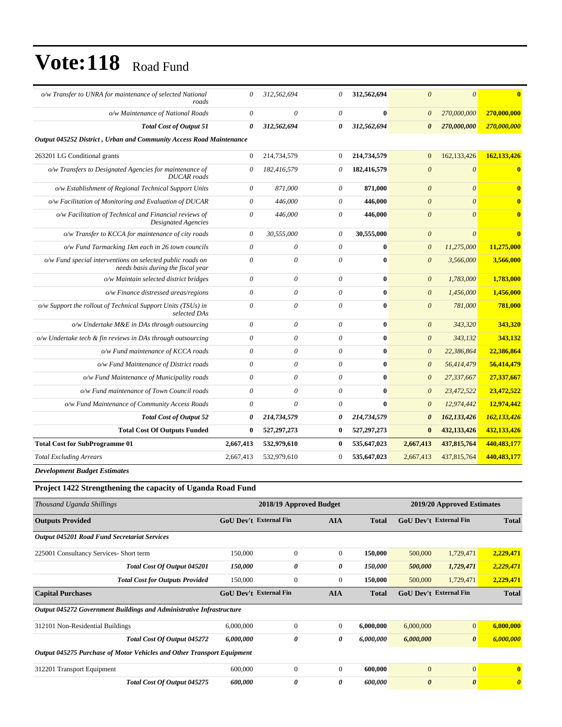| o/w Transfer to UNRA for maintenance of selected National<br>roads                               | $\theta$                  | 312.562.694 | $\theta$              | 312,562,694  | $\theta$              | $\Omega$              | $\mathbf{0}$            |
|--------------------------------------------------------------------------------------------------|---------------------------|-------------|-----------------------|--------------|-----------------------|-----------------------|-------------------------|
| o/w Maintenance of National Roads                                                                | $\theta$                  | $\theta$    | $\theta$              | $\bf{0}$     | $\theta$              | 270,000,000           | 270,000,000             |
| <b>Total Cost of Output 51</b>                                                                   | 0                         | 312,562,694 | $\boldsymbol{\theta}$ | 312,562,694  | $\theta$              | 270,000,000           | 270,000,000             |
| Output 045252 District, Urban and Community Access Road Maintenance                              |                           |             |                       |              |                       |                       |                         |
| 263201 LG Conditional grants                                                                     | $\mathbf{0}$              | 214,734,579 | $\theta$              | 214,734,579  | $\overline{0}$        | 162,133,426           | 162,133,426             |
| o/w Transfers to Designated Agencies for maintenance of<br><b>DUCAR</b> roads                    | $\theta$                  | 182,416,579 | $\theta$              | 182,416,579  | $\theta$              | $\theta$              | $\mathbf{0}$            |
| o/w Establishment of Regional Technical Support Units                                            | $\boldsymbol{\mathit{0}}$ | 871,000     | $\theta$              | 871,000      | $\theta$              | $\boldsymbol{\theta}$ | $\bf{0}$                |
| o/w Facilitation of Monitoring and Evaluation of DUCAR                                           | $\theta$                  | 446,000     | $\theta$              | 446,000      | $\theta$              | $\theta$              | $\overline{\mathbf{0}}$ |
| o/w Facilitation of Technical and Financial reviews of<br>Designated Agencies                    | $\theta$                  | 446,000     | $\theta$              | 446,000      | $\theta$              | $\theta$              | $\overline{\mathbf{0}}$ |
| o/w Transfer to KCCA for maintenance of city roads                                               | $\theta$                  | 30,555,000  | $\theta$              | 30,555,000   | $\theta$              | $\theta$              | $\mathbf{0}$            |
| o/w Fund Tarmacking 1km each in 26 town councils                                                 | $\theta$                  | $\theta$    | $\theta$              | $\bf{0}$     | $\theta$              | 11,275,000            | 11,275,000              |
| o/w Fund special interventions on selected public roads on<br>needs basis during the fiscal year | $\theta$                  | $\theta$    | $\theta$              | $\bf{0}$     | $\theta$              | 3,566,000             | 3,566,000               |
| o/w Maintain selected district bridges                                                           | $\theta$                  | $\theta$    | $\theta$              | $\bf{0}$     | $\boldsymbol{\theta}$ | 1,783,000             | 1,783,000               |
| o/w Finance distressed areas/regions                                                             | $\theta$                  | $\theta$    | $\theta$              | $\bf{0}$     | $\theta$              | 1,456,000             | 1,456,000               |
| o/w Support the rollout of Technical Support Units (TSUs) in<br>selected DAs                     | $\theta$                  | $\theta$    | $\theta$              | $\bf{0}$     | $\theta$              | 781,000               | 781,000                 |
| o/w Undertake M&E in DAs through outsourcing                                                     | $\boldsymbol{\mathit{0}}$ | $\theta$    | $\theta$              | $\bf{0}$     | $\theta$              | 343,320               | 343,320                 |
| o/w Undertake tech & fin reviews in DAs through outsourcing                                      | $\theta$                  | $\theta$    | $\theta$              | $\bf{0}$     | $\theta$              | 343,132               | 343,132                 |
| o/w Fund maintenance of KCCA roads                                                               | $\boldsymbol{\theta}$     | $\theta$    | $\theta$              | $\bf{0}$     | $\boldsymbol{\theta}$ | 22,386,864            | 22,386,864              |
| o/w Fund Maintenance of District roads                                                           | $\theta$                  | $\theta$    | $\theta$              | $\bf{0}$     | $\theta$              | 56,414,479            | 56,414,479              |
| o/w Fund Maintenance of Municipality roads                                                       | 0                         | 0           | $\theta$              | $\bf{0}$     | $\boldsymbol{0}$      | 27,337,667            | 27,337,667              |
| o/w Fund maintenance of Town Council roads                                                       | $\boldsymbol{\theta}$     | $\theta$    | $\theta$              | $\bf{0}$     | $\boldsymbol{\theta}$ | 23,472,522            | 23,472,522              |
| o/w Fund Maintenance of Community Access Roads                                                   | $\theta$                  | $\theta$    | $\theta$              | $\mathbf{0}$ | $\theta$              | 12,974,442            | 12,974,442              |
| <b>Total Cost of Output 52</b>                                                                   | 0                         | 214,734,579 | 0                     | 214,734,579  | $\theta$              | 162,133,426           | 162,133,426             |
| <b>Total Cost Of Outputs Funded</b>                                                              | $\bf{0}$                  | 527,297,273 | $\bf{0}$              | 527,297,273  | $\mathbf{0}$          | 432,133,426           | 432,133,426             |
| <b>Total Cost for SubProgramme 01</b>                                                            | 2,667,413                 | 532,979,610 | $\bf{0}$              | 535,647,023  | 2,667,413             | 437,815,764           | 440,483,177             |
| <b>Total Excluding Arrears</b>                                                                   | 2,667,413                 | 532,979,610 | $\theta$              | 535,647,023  | 2,667,413             | 437,815,764           | 440,483,177             |
|                                                                                                  |                           |             |                       |              |                       |                       |                         |

*Development Budget Estimates*

#### **Project 1422 Strengthening the capacity of Uganda Road Fund**

| Thousand Uganda Shillings                                              | 2018/19 Approved Budget       | 2019/20 Approved Estimates |                |                       |                               |                       |                       |
|------------------------------------------------------------------------|-------------------------------|----------------------------|----------------|-----------------------|-------------------------------|-----------------------|-----------------------|
| <b>Outputs Provided</b>                                                | <b>GoU Dev't External Fin</b> |                            | <b>AIA</b>     | <b>Total</b>          | <b>GoU Dev't External Fin</b> |                       | <b>Total</b>          |
| <b>Output 045201 Road Fund Secretariat Services</b>                    |                               |                            |                |                       |                               |                       |                       |
| 225001 Consultancy Services- Short term                                | 150,000                       | $\mathbf{0}$               | $\overline{0}$ | 150,000               | 500,000                       | 1,729,471             | 2,229,471             |
| Total Cost Of Output 045201                                            | 150,000                       | 0                          | 0              | <i><b>150,000</b></i> | 500,000                       | 1,729,471             | 2,229,471             |
| <b>Total Cost for Outputs Provided</b>                                 | 150,000                       | $\Omega$                   | $\overline{0}$ | 150,000               | 500,000                       | 1,729,471             | 2,229,471             |
| <b>Capital Purchases</b>                                               | <b>GoU Dev't External Fin</b> |                            | <b>AIA</b>     | <b>Total</b>          | <b>GoU Dev't External Fin</b> |                       | <b>Total</b>          |
| Output 045272 Government Buildings and Administrative Infrastructure   |                               |                            |                |                       |                               |                       |                       |
| 312101 Non-Residential Buildings                                       | 6,000,000                     | $\mathbf{0}$               | $\overline{0}$ | 6,000,000             | 6,000,000                     | $\overline{0}$        | 6,000,000             |
| Total Cost Of Output 045272                                            | 6,000,000                     | 0                          | 0              | 6,000,000             | 6,000,000                     | $\boldsymbol{\theta}$ | 6,000,000             |
| Output 045275 Purchase of Motor Vehicles and Other Transport Equipment |                               |                            |                |                       |                               |                       |                       |
| 312201 Transport Equipment                                             | 600,000                       | $\mathbf{0}$               | $\Omega$       | 600,000               | $\mathbf{0}$                  | $\overline{0}$        | $\mathbf{0}$          |
| Total Cost Of Output 045275                                            | 600,000                       | 0                          | 0              | 600,000               | $\boldsymbol{\theta}$         | $\theta$              | $\boldsymbol{\theta}$ |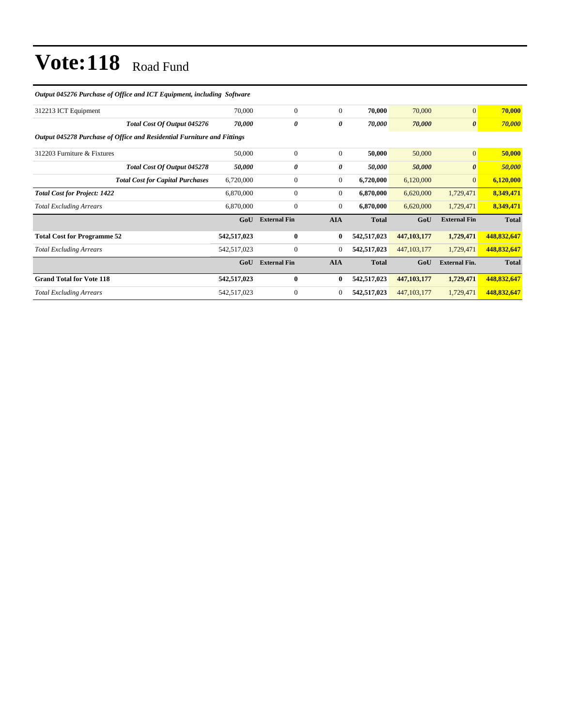#### *Output 045276 Purchase of Office and ICT Equipment, including Software*

| 312213 ICT Equipment                                                    | 70,000      | $\overline{0}$      | $\theta$     | 70,000       | 70,000        | $\mathbf{0}$          | 70,000       |
|-------------------------------------------------------------------------|-------------|---------------------|--------------|--------------|---------------|-----------------------|--------------|
| Total Cost Of Output 045276                                             | 70,000      | 0                   | 0            | 70,000       | 70,000        | $\boldsymbol{\theta}$ | 70,000       |
| Output 045278 Purchase of Office and Residential Furniture and Fittings |             |                     |              |              |               |                       |              |
| 312203 Furniture & Fixtures                                             | 50,000      | $\overline{0}$      | $\theta$     | 50,000       | 50,000        | $\mathbf{0}$          | 50,000       |
| Total Cost Of Output 045278                                             | 50,000      | 0                   | 0            | 50,000       | 50,000        | $\boldsymbol{\theta}$ | 50,000       |
| <b>Total Cost for Capital Purchases</b>                                 | 6,720,000   | $\boldsymbol{0}$    | $\theta$     | 6,720,000    | 6,120,000     | $\mathbf{0}$          | 6,120,000    |
| <b>Total Cost for Project: 1422</b>                                     | 6,870,000   | $\overline{0}$      | $\theta$     | 6,870,000    | 6,620,000     | 1,729,471             | 8,349,471    |
| <b>Total Excluding Arrears</b>                                          | 6,870,000   | $\boldsymbol{0}$    | $\theta$     | 6,870,000    | 6,620,000     | 1,729,471             | 8,349,471    |
|                                                                         | GoU         | <b>External Fin</b> | <b>AIA</b>   | <b>Total</b> | GoU           | <b>External Fin</b>   | <b>Total</b> |
| <b>Total Cost for Programme 52</b>                                      | 542,517,023 | $\bf{0}$            | $\mathbf{0}$ | 542,517,023  | 447,103,177   | 1,729,471             | 448,832,647  |
| <b>Total Excluding Arrears</b>                                          | 542,517,023 | $\mathbf{0}$        | $\theta$     | 542,517,023  | 447, 103, 177 | 1,729,471             | 448,832,647  |
|                                                                         | GoU         | <b>External Fin</b> | <b>AIA</b>   | <b>Total</b> | GoU           | <b>External Fin.</b>  | <b>Total</b> |
| <b>Grand Total for Vote 118</b>                                         | 542,517,023 | $\bf{0}$            | $\bf{0}$     | 542,517,023  | 447,103,177   | 1,729,471             | 448,832,647  |
| <b>Total Excluding Arrears</b>                                          | 542,517,023 | $\mathbf{0}$        | $\theta$     | 542,517,023  | 447, 103, 177 | 1,729,471             | 448,832,647  |
|                                                                         |             |                     |              |              |               |                       |              |